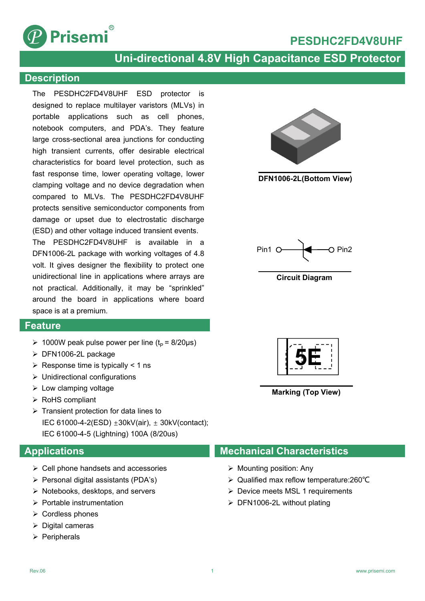

## **PESDHC2FD4V8UHF**

## **Uni-directional 4.8V High Capacitance ESD Protector**

### **Description**

The PESDHC2FD4V8UHF ESD protector is designed to replace multilayer varistors (MLVs) in portable applications such as cell phones, notebook computers, and PDA's. They feature large cross-sectional area junctions for conducting high transient currents, offer desirable electrical characteristics for board level protection, such as fast response time, lower operating voltage, lower clamping voltage and no device degradation when compared to MLVs. The PESDHC2FD4V8UHF protects sensitive semiconductor components from damage or upset due to electrostatic discharge (ESD) and other voltage induced transient events.

The PESDHC2FD4V8UHF is available in a DFN1006-2L package with working voltages of 4.8 volt. It gives designer the flexibility to protect one unidirectional line in applications where arrays are not practical. Additionally, it may be "sprinkled" around the board in applications where board space is at a premium.

### **Feature**

- $\geq 1000W$  peak pulse power per line (t<sub>p</sub> = 8/20µs)
- DFN1006-2L package
- $\triangleright$  Response time is typically < 1 ns
- $\triangleright$  Unidirectional configurations
- $\triangleright$  Low clamping voltage
- $\triangleright$  RoHS compliant
- $\triangleright$  Transient protection for data lines to IEC 61000-4-2(ESD) ±30kV(air), ± 30kV(contact); IEC 61000-4-5 (Lightning) 100A (8/20us)

### **Applications**

- $\triangleright$  Cell phone handsets and accessories
- $\triangleright$  Personal digital assistants (PDA's)
- $\triangleright$  Notebooks, desktops, and servers
- $\triangleright$  Portable instrumentation
- $\triangleright$  Cordless phones
- $\triangleright$  Digital cameras
- $\triangleright$  Peripherals



**DFN1006-2L(Bottom View)**



**Circuit Diagram**



**Marking (Top View)**

### **Mechanical Characteristics**

- $\triangleright$  Mounting position: Any
- Qualified max reflow temperature:260℃
- ▶ Device meets MSL 1 requirements
- $\triangleright$  DFN1006-2L without plating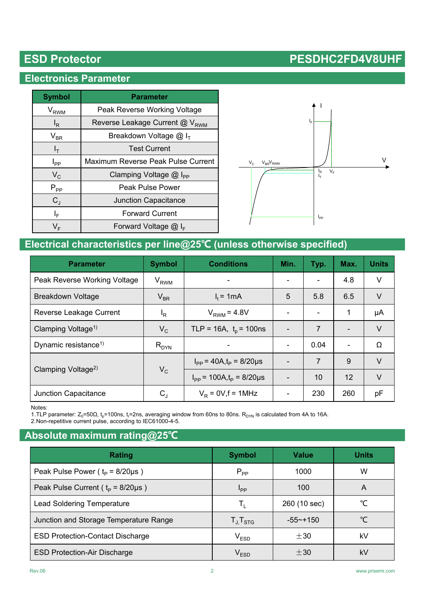## **Electronics Parameter**

| <b>Symbol</b>              | <b>Parameter</b>                           |  |  |  |
|----------------------------|--------------------------------------------|--|--|--|
| V <sub>RWM</sub>           | Peak Reverse Working Voltage               |  |  |  |
| $I_R$                      | Reverse Leakage Current @ V <sub>RWM</sub> |  |  |  |
| $\mathsf{V}_{\mathsf{BR}}$ | Breakdown Voltage $@I_{T}$                 |  |  |  |
| $I_T$                      | <b>Test Current</b>                        |  |  |  |
| $I_{PP}$                   | Maximum Reverse Peak Pulse Current         |  |  |  |
| $V_C$                      | Clamping Voltage $@$ I <sub>PP</sub>       |  |  |  |
| $P_{PP}$                   | Peak Pulse Power                           |  |  |  |
| $C_{J}$                    | <b>Junction Capacitance</b>                |  |  |  |
| ΙF                         | <b>Forward Current</b>                     |  |  |  |
| VF                         | Forward Voltage $@I_{F}$                   |  |  |  |



## **Electrical characteristics per line@25℃ (unless otherwise specified)**

| <b>Parameter</b>                 | <b>Symbol</b>               | <b>Conditions</b>                      | Min. | Typ. | Max. | <b>Units</b> |
|----------------------------------|-----------------------------|----------------------------------------|------|------|------|--------------|
| Peak Reverse Working Voltage     | $\rm V_{RWM}$               |                                        |      |      | 4.8  | V            |
| <b>Breakdown Voltage</b>         | $V_{BR}$                    | $I_t = 1mA$                            | 5    | 5.8  | 6.5  | V            |
| Reverse Leakage Current          | $I_R$                       | $V_{RWM} = 4.8V$                       |      |      | 1    | μA           |
| Clamping Voltage <sup>1)</sup>   | $V_C$                       | TLP = 16A, $t_p$ = 100ns               |      | 7    |      | V            |
| Dynamic resistance <sup>1)</sup> | $\mathsf{R}_{\mathsf{DYN}}$ |                                        |      | 0.04 |      | Ω            |
|                                  | $V_C$                       | $I_{PP}$ = 40A,t <sub>p</sub> = 8/20µs |      | 7    | 9    | $\vee$       |
| Clamping Voltage <sup>2)</sup>   |                             | $I_{PP}$ = 100A, $t_{P}$ = 8/20µs      |      | 10   | 12   | $\vee$       |
| Junction Capacitance             | $\rm C_J$                   | $V_R = 0V, f = 1MHz$                   |      | 230  | 260  | рF           |

Notes:

1.TLP parameter: Z $_0$ =50Ω, t $_{\sf p}$ =100ns, t $_{\sf r}$ =2ns, averaging window from 60ns to 80ns.  ${\sf R}_{\sf DYN}$  is calculated from 4A to 16A.

2.Non-repetitive current pulse, according to IEC61000-4-5.

## **Absolute maximum rating@25℃**

| Rating                                    | <b>Symbol</b>  | <b>Value</b> | <b>Units</b> |
|-------------------------------------------|----------------|--------------|--------------|
| Peak Pulse Power ( $t_p = 8/20 \mu s$ )   | $P_{PP}$       | 1000         | w            |
| Peak Pulse Current ( $t_p = 8/20 \mu s$ ) | <b>I</b> pp    | 100          | A            |
| <b>Lead Soldering Temperature</b>         | T,             | 260 (10 sec) | °C           |
| Junction and Storage Temperature Range    | $T_{J}T_{STG}$ | $-55$ ~+150  | ℃            |
| <b>ESD Protection-Contact Discharge</b>   | $V_{ESD}$      | $\pm$ 30     | kV           |
| <b>ESD Protection-Air Discharge</b>       | $\rm V_{ESD}$  | ±30          | kV           |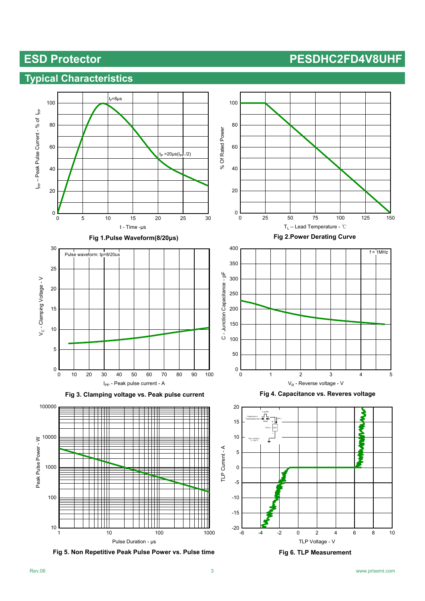## **Typical Characteristics**





**Fig 5. Non Repetitive Peak Pulse Power vs. Pulse time**

-6 -4 -2 0 2 4 6 8 10

TLP Voltage - V **Fig 6. TLP Measurement**

 $-20$   $-6$ 

-15

-10

-5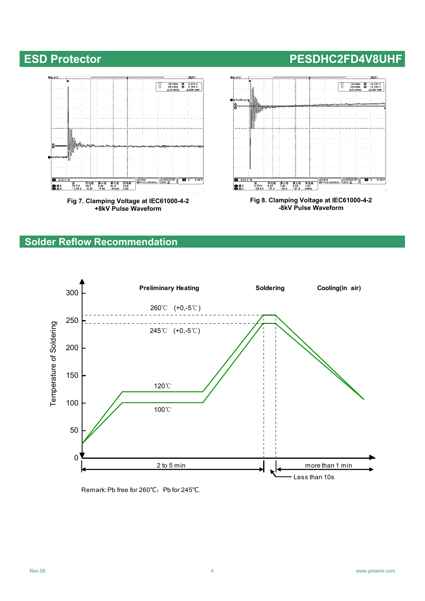

**Fig 7. Clamping Voltage at IEC61000-4-2 +8kV Pulse Waveform**



**-8kV Pulse Waveform**

## **Solder Reflow Recommendation**



Remark: Pb free for 260℃; Pb for 245℃.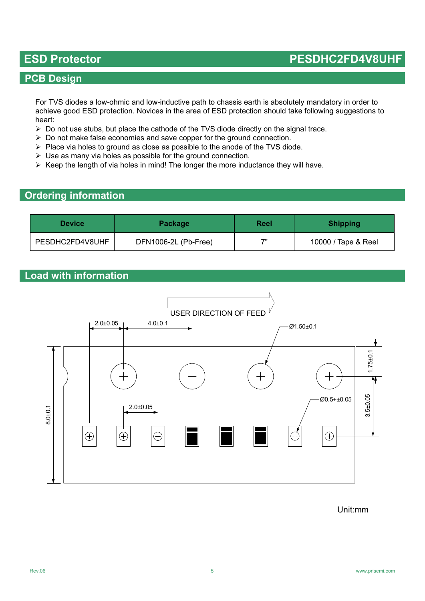### **PCB Design**

For TVS diodes a low-ohmic and low-inductive path to chassis earth is absolutely mandatory in order to achieve good ESD protection. Novices in the area of ESD protection should take following suggestions to heart:

- $\triangleright$  Do not use stubs, but place the cathode of the TVS diode directly on the signal trace.
- $\triangleright$  Do not make false economies and save copper for the ground connection.
- $\triangleright$  Place via holes to ground as close as possible to the anode of the TVS diode.
- $\triangleright$  Use as many via holes as possible for the ground connection.
- $\triangleright$  Keep the length of via holes in mind! The longer the more inductance they will have.

### **Ordering information**

| <b>Device</b>   | <b>Package</b>       | Reel | <b>Shipping</b>     |
|-----------------|----------------------|------|---------------------|
| PESDHC2FD4V8UHF | DFN1006-2L (Pb-Free) | 71   | 10000 / Tape & Reel |

### **Load with information**



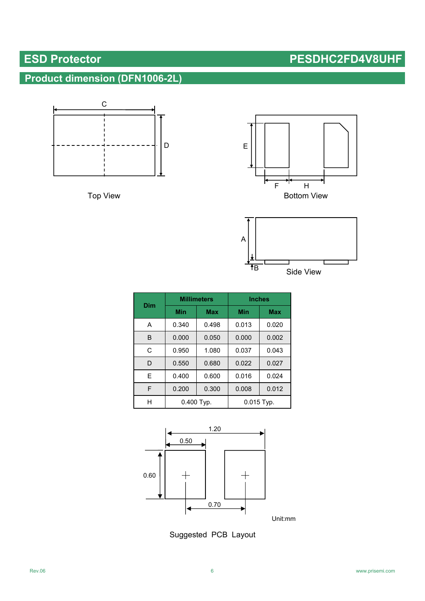# **Product dimension (DFN1006-2L)**









| Dim |            | <b>Millimeters</b> | <b>Inches</b> |            |  |
|-----|------------|--------------------|---------------|------------|--|
|     | Min        | <b>Max</b>         | Min           | <b>Max</b> |  |
| A   | 0.340      | 0.498              | 0.013         | 0.020      |  |
| B   | 0.000      | 0.050              | 0.000         | 0.002      |  |
| C   | 0.950      | 1.080              | 0.037         | 0.043      |  |
| D   | 0.550      | 0.680              | 0.022         | 0.027      |  |
| F   | 0.400      | 0.600              | 0.016         | 0.024      |  |
| F   | 0.200      | 0.300              | 0.008         | 0.012      |  |
| н   | 0.400 Typ. |                    | $0.015$ Typ.  |            |  |



Unit:mm